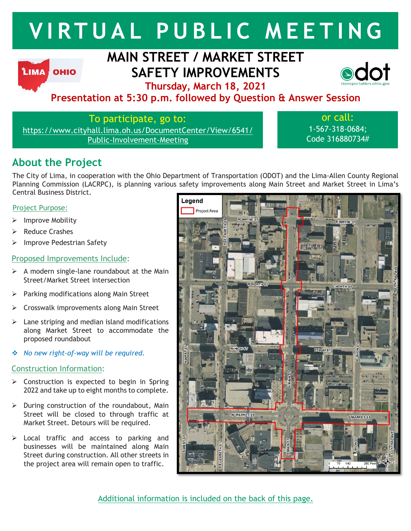# **V I RT U A L P U B L I C M E E T I N G**

# **LIMA OHIO**

# **MAIN STREET / MARKET STREET SAFETY IMPROVEMENTS**



**Thursday, March 18, 2021**

# **Presentation at 5:30 p.m. followed by Question & Answer Session**

To participate, go to:

https://www.cityhall.lima.oh.us/DocumentCenter/View/6541/ Public-Involvement-Meeting

or call: 1-567-318-0684; Code 316880734#

# **About the Project**

The City of Lima, in cooperation with the Ohio Department of Transportation (ODOT) and the Lima-Allen County Regional Planning Commission (LACRPC), is planning various safety improvements along Main Street and Market Street in Lima's Central Business District.

#### Project Purpose:

- $\triangleright$  Improve Mobility
- $\triangleright$  Reduce Crashes
- $\triangleright$  Improve Pedestrian Safety

#### Proposed Improvements Include:

- $\triangleright$  A modern single-lane roundabout at the Main Street/Market Street intersection
- $\triangleright$  Parking modifications along Main Street
- Crosswalk improvements along Main Street
- $\blacktriangleright$  Lane striping and median island modifications along Market Street to accommodate the proposed roundabout
- *No new right-of-way will be required.*

#### Construction Information:

- $\triangleright$  Construction is expected to begin in Spring 2022 and take up to eight months to complete.
- $\triangleright$  During construction of the roundabout, Main Street will be closed to through traffic at Market Street. Detours will be required.
- $\triangleright$  Local traffic and access to parking and businesses will be maintained along Main Street during construction. All other streets in the project area will remain open to traffic.